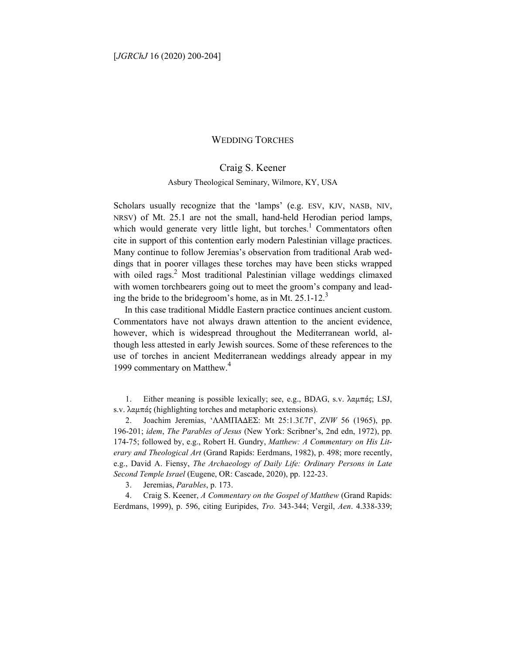## WEDDING TORCHES

## Craig S. Keener

## Asbury Theological Seminary, Wilmore, KY, USA

Scholars usually recognize that the 'lamps' (e.g. ESV, KJV, NASB, NIV, NRSV) of Mt. 25.1 are not the small, hand-held Herodian period lamps, which would generate very little light, but torches.<sup>1</sup> Commentators often cite in support of this contention early modern Palestinian village practices. Many continue to follow Jeremias's observation from traditional Arab weddings that in poorer villages these torches may have been sticks wrapped with oiled rags.<sup>2</sup> Most traditional Palestinian village weddings climaxed with women torchbearers going out to meet the groom's company and leading the bride to the bridegroom's home, as in Mt.  $25.1$ - $12.^3$ 

In this case traditional Middle Eastern practice continues ancient custom. Commentators have not always drawn attention to the ancient evidence, however, which is widespread throughout the Mediterranean world, although less attested in early Jewish sources. Some of these references to the use of torches in ancient Mediterranean weddings already appear in my 1999 commentary on Matthew.<sup>4</sup>

1. Either meaning is possible lexically; see, e.g., BDAG, s.v. λαµπάς; LSJ, s.v. λαµπάς (highlighting torches and metaphoric extensions).

2. Joachim Jeremias, 'ΛΑΜΠΑ∆ΕΣ: Mt 25:1.3f.7f', *ZNW* 56 (1965), pp. 196-201; *idem*, *The Parables of Jesus* (New York: Scribner's, 2nd edn, 1972), pp. 174-75; followed by, e.g., Robert H. Gundry, *Matthew: A Commentary on His Literary and Theological Art* (Grand Rapids: Eerdmans, 1982), p. 498; more recently, e.g., David A. Fiensy, *The Archaeology of Daily Life: Ordinary Persons in Late Second Temple Israel* (Eugene, OR: Cascade, 2020), pp. 122-23.

3. Jeremias, *Parables*, p. 173.

4. Craig S. Keener, *A Commentary on the Gospel of Matthew* (Grand Rapids: Eerdmans, 1999), p. 596, citing Euripides, *Tro.* 343-344; Vergil, *Aen*. 4.338-339;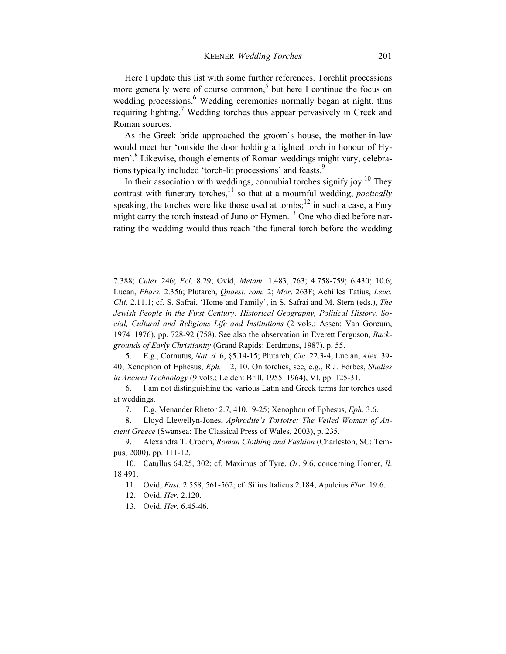Here I update this list with some further references. Torchlit processions more generally were of course common,<sup>5</sup> but here I continue the focus on wedding processions.<sup>6</sup> Wedding ceremonies normally began at night, thus requiring lighting.<sup>7</sup> Wedding torches thus appear pervasively in Greek and Roman sources.

As the Greek bride approached the groom's house, the mother-in-law would meet her 'outside the door holding a lighted torch in honour of Hymen'.<sup>8</sup> Likewise, though elements of Roman weddings might vary, celebrations typically included 'torch-lit processions' and feasts.<sup>9</sup>

In their association with weddings, connubial torches signify joy.<sup>10</sup> They contrast with funerary torches,<sup>11</sup> so that at a mournful wedding, *poetically* speaking, the torches were like those used at tombs;<sup>12</sup> in such a case, a Fury might carry the torch instead of Juno or Hymen.<sup>13</sup> One who died before narrating the wedding would thus reach 'the funeral torch before the wedding

7.388; *Culex* 246; *Ecl*. 8.29; Ovid, *Metam*. 1.483, 763; 4.758-759; 6.430; 10.6; Lucan, *Phars.* 2.356; Plutarch, *Quaest. rom.* 2; *Mor*. 263F; Achilles Tatius, *Leuc. Clit.* 2.11.1; cf. S. Safrai, 'Home and Family', in S. Safrai and M. Stern (eds.), *The Jewish People in the First Century: Historical Geography, Political History, Social, Cultural and Religious Life and Institutions* (2 vols.; Assen: Van Gorcum, 1974–1976), pp. 728-92 (758). See also the observation in Everett Ferguson, *Backgrounds of Early Christianity* (Grand Rapids: Eerdmans, 1987), p. 55.

5. E.g., Cornutus, *Nat. d.* 6, §5.14-15; Plutarch, *Cic.* 22.3-4; Lucian, *Alex*. 39- 40; Xenophon of Ephesus, *Eph.* 1.2, 10. On torches, see, e.g., R.J. Forbes, *Studies in Ancient Technology* (9 vols.; Leiden: Brill, 1955–1964), VI, pp. 125-31.

6. I am not distinguishing the various Latin and Greek terms for torches used at weddings.

7. E.g. Menander Rhetor 2.7, 410.19-25; Xenophon of Ephesus, *Eph*. 3.6.

8. Lloyd Llewellyn-Jones, *Aphrodite's Tortoise: The Veiled Woman of Ancient Greece* (Swansea: The Classical Press of Wales, 2003), p. 235.

9. Alexandra T. Croom, *Roman Clothing and Fashion* (Charleston, SC: Tempus, 2000), pp. 111-12.

10. Catullus 64.25, 302; cf. Maximus of Tyre, *Or*. 9.6, concerning Homer, *Il*. 18.491.

11. Ovid, *Fast.* 2.558, 561-562; cf. Silius Italicus 2.184; Apuleius *Flor*. 19.6.

12. Ovid, *Her.* 2.120.

13. Ovid, *Her.* 6.45-46.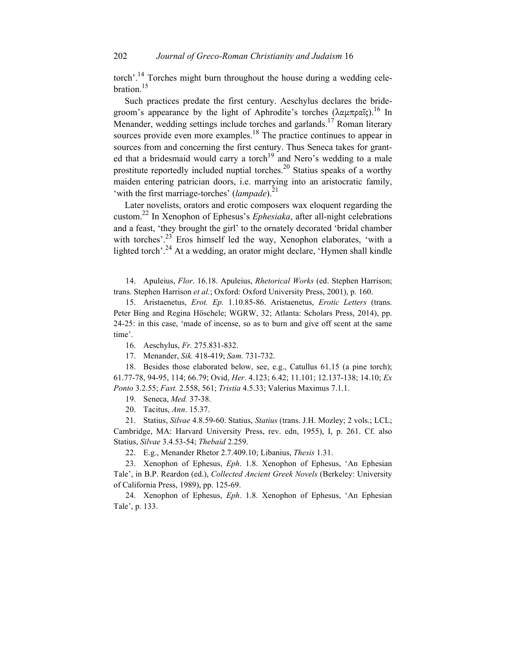torch'.14 Torches might burn throughout the house during a wedding celebration.<sup>15</sup>

Such practices predate the first century. Aeschylus declares the bridegroom's appearance by the light of Aphrodite's torches  $(λαμπραΐς).$ <sup>16</sup> In Menander, wedding settings include torches and garlands.<sup>17</sup> Roman literary sources provide even more examples.<sup>18</sup> The practice continues to appear in sources from and concerning the first century. Thus Seneca takes for granted that a bridesmaid would carry a torch<sup>19</sup> and Nero's wedding to a male prostitute reportedly included nuptial torches.<sup>20</sup> Statius speaks of a worthy maiden entering patrician doors, i.e. marrying into an aristocratic family, 'with the first marriage-torches' (*lampade*).<sup>21</sup>

Later novelists, orators and erotic composers wax eloquent regarding the custom.22 In Xenophon of Ephesus's *Ephesiaka*, after all-night celebrations and a feast, 'they brought the girl' to the ornately decorated 'bridal chamber with torches'.<sup>23</sup> Eros himself led the way, Xenophon elaborates, 'with a lighted torch'.<sup>24</sup> At a wedding, an orator might declare, 'Hymen shall kindle

14. Apuleius, *Flor*. 16.18. Apuleius, *Rhetorical Works* (ed. Stephen Harrison; trans. Stephen Harrison *et al.*; Oxford: Oxford University Press, 2001), p. 160.

15. Aristaenetus, *Erot. Ep.* 1.10.85-86. Aristaenetus, *Erotic Letters* (trans. Peter Bing and Regina Höschele; WGRW, 32; Atlanta: Scholars Press, 2014), pp. 24-25: in this case, 'made of incense, so as to burn and give off scent at the same time'.

16. Aeschylus, *Fr.* 275.831-832.

17. Menander, *Sik.* 418-419; *Sam.* 731-732.

18. Besides those elaborated below, see, e.g., Catullus 61.15 (a pine torch); 61.77-78, 94-95, 114; 66.79; Ovid, *Her*. 4.123; 6.42; 11.101; 12.137-138; 14.10; *Ex Ponto* 3.2.55; *Fast.* 2.558, 561; *Tristia* 4.5.33; Valerius Maximus 7.1.1.

19. Seneca, *Med.* 37-38.

20. Tacitus, *Ann*. 15.37.

21. Statius, *Silvae* 4.8.59-60. Statius, *Statius* (trans. J.H. Mozley; 2 vols.; LCL; Cambridge, MA: Harvard University Press, rev. edn, 1955), I, p. 261. Cf. also Statius, *Silvae* 3.4.53-54; *Thebaid* 2.259.

22. E.g., Menander Rhetor 2.7.409.10; Libanius, *Thesis* 1.31.

23. Xenophon of Ephesus, *Eph*. 1.8. Xenophon of Ephesus, 'An Ephesian Tale', in B.P. Reardon (ed.), *Collected Ancient Greek Novels* (Berkeley: University of California Press, 1989), pp. 125-69.

24. Xenophon of Ephesus, *Eph*. 1.8. Xenophon of Ephesus, 'An Ephesian Tale', p. 133.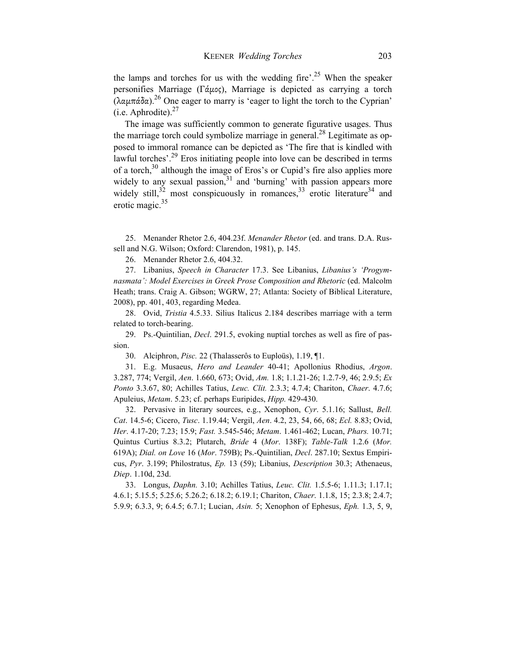the lamps and torches for us with the wedding fire'.<sup>25</sup> When the speaker personifies Marriage (Γάµος), Marriage is depicted as carrying a torch (λαµπάδα).26 One eager to marry is 'eager to light the torch to the Cyprian' (i.e. Aphrodite). $27$ 

The image was sufficiently common to generate figurative usages. Thus the marriage torch could symbolize marriage in general.<sup>28</sup> Legitimate as opposed to immoral romance can be depicted as 'The fire that is kindled with lawful torches'.<sup>29</sup> Eros initiating people into love can be described in terms of a torch,<sup>30</sup> although the image of Eros's or Cupid's fire also applies more widely to any sexual passion, $31$  and 'burning' with passion appears more widely still, $3^2$  most conspicuously in romances,  $3^3$  erotic literature<sup>34</sup> and erotic magic.<sup>35</sup>

25. Menander Rhetor 2.6, 404.23f. *Menander Rhetor* (ed. and trans. D.A. Russell and N.G. Wilson; Oxford: Clarendon, 1981), p. 145.

26. Menander Rhetor 2.6, 404.32.

27. Libanius, *Speech in Character* 17.3. See Libanius, *Libanius's 'Progymnasmata': Model Exercises in Greek Prose Composition and Rhetoric* (ed. Malcolm Heath; trans. Craig A. Gibson; WGRW, 27; Atlanta: Society of Biblical Literature, 2008), pp. 401, 403, regarding Medea.

28. Ovid, *Tristia* 4.5.33. Silius Italicus 2.184 describes marriage with a term related to torch-bearing.

29. Ps.-Quintilian, *Decl*. 291.5, evoking nuptial torches as well as fire of passion.

30. Alciphron, *Pisc.* 22 (Thalasserôs to Euploüs), 1.19, ¶1.

31. E.g. Musaeus, *Hero and Leander* 40-41; Apollonius Rhodius, *Argon*. 3.287, 774; Vergil, *Aen*. 1.660, 673; Ovid, *Am.* 1.8; 1.1.21-26; 1.2.7-9, 46; 2.9.5; *Ex Ponto* 3.3.67, 80; Achilles Tatius, *Leuc. Clit.* 2.3.3; 4.7.4; Chariton, *Chaer*. 4.7.6; Apuleius, *Metam*. 5.23; cf. perhaps Euripides, *Hipp.* 429-430.

32. Pervasive in literary sources, e.g., Xenophon, *Cyr*. 5.1.16; Sallust, *Bell. Cat*. 14.5-6; Cicero, *Tusc*. 1.19.44; Vergil, *Aen*. 4.2, 23, 54, 66, 68; *Ecl.* 8.83; Ovid, *Her*. 4.17-20; 7.23; 15.9; *Fast.* 3.545-546; *Metam*. 1.461-462; Lucan, *Phars.* 10.71; Quintus Curtius 8.3.2; Plutarch, *Bride* 4 (*Mor*. 138F); *Table-Talk* 1.2.6 (*Mor.* 619A); *Dial. on Love* 16 (*Mor*. 759B); Ps.-Quintilian, *Decl*. 287.10; Sextus Empiricus, *Pyr*. 3.199; Philostratus, *Ep.* 13 (59); Libanius, *Description* 30.3; Athenaeus, *Diep*. 1.10d, 23d.

33. Longus, *Daphn.* 3.10; Achilles Tatius, *Leuc. Clit.* 1.5.5-6; 1.11.3; 1.17.1; 4.6.1; 5.15.5; 5.25.6; 5.26.2; 6.18.2; 6.19.1; Chariton, *Chaer*. 1.1.8, 15; 2.3.8; 2.4.7; 5.9.9; 6.3.3, 9; 6.4.5; 6.7.1; Lucian, *Asin.* 5; Xenophon of Ephesus, *Eph.* 1.3, 5, 9,